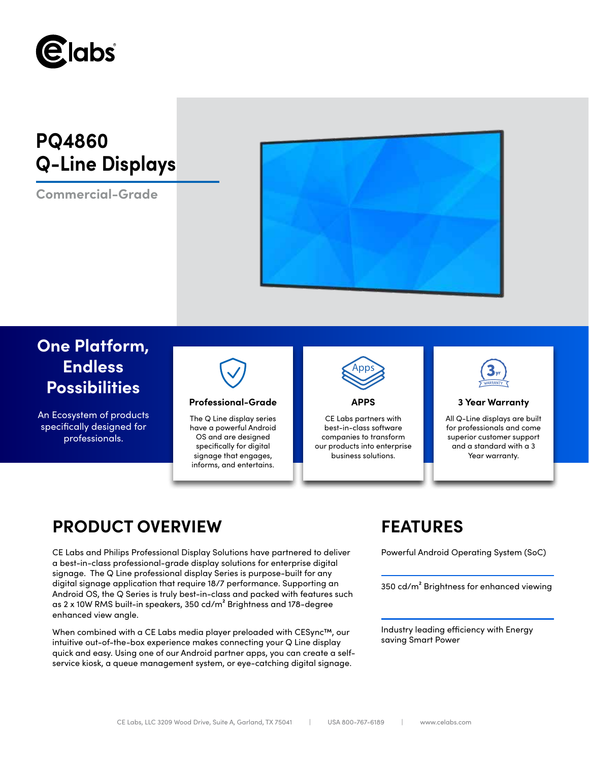

# **PQ4860 Q-Line Displays**

**Commercial-Grade**



# **One Platform, Endless Possibilities**

An Ecosystem of products specifically designed for professionals.



## **Professional-Grade APPS 3 Year Warranty**

The Q Line display series have a powerful Android OS and are designed specifically for digital signage that engages, informs, and entertains.



CE Labs partners with best-in-class software companies to transform our products into enterprise business solutions.



All Q-Line displays are built for professionals and come superior customer support and a standard with a 3 Year warranty.

# **PRODUCT OVERVIEW FEATURES**

CE Labs and Philips Professional Display Solutions have partnered to deliver Powerful Android Operating System (SoC) a best-in-class professional-grade display solutions for enterprise digital signage. The Q Line professional display Series is purpose-built for any digital signage application that require 18/7 performance. Supporting an Android OS, the Q Series is truly best-in-class and packed with features such as 2 x 10W RMS built-in speakers, 350 cd/m² Brightness and 178-degree enhanced view angle.

When combined with a CE Labs media player preloaded with CESync™, our intuitive out-of-the-box experience makes connecting your Q Line display quick and easy. Using one of our Android partner apps, you can create a selfservice kiosk, a queue management system, or eye-catching digital signage.

350 cd/m² Brightness for enhanced viewing

Industry leading efficiency with Energy saving Smart Power